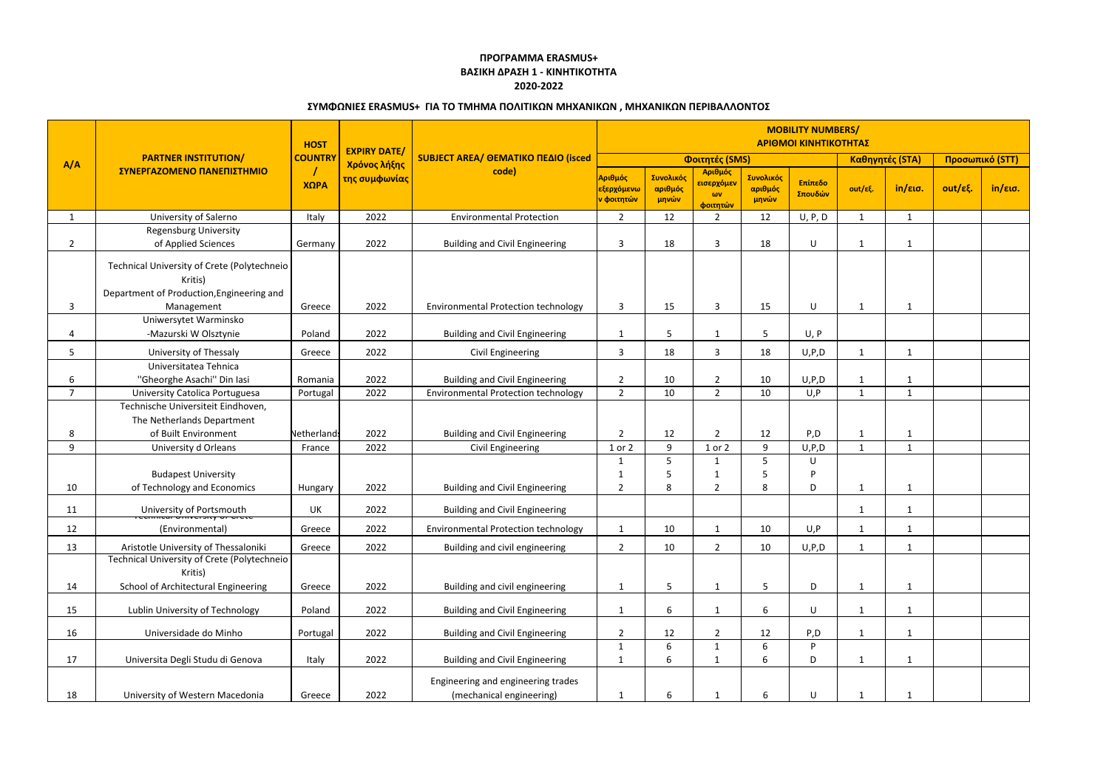| A/A            | <b>PARTNER INSTITUTION/</b><br>ΣΥΝΕΡΓΑΖΟΜΕΝΟ ΠΑΝΕΠΙΣΤΗΜΙΟ                                            | <b>HOST</b>            | <b>EXPIRY DATE/</b><br>Χρόνος λήξης<br>της συμφωνίας | <b>SUBJECT AREA/ ΘΕΜΑΤΙΚΟ ΠΕΔΙΟ (isced</b><br>code)            | <b>MOBILITY NUMBERS/</b><br>ΑΡΙΘΜΟΙ ΚΙΝΗΤΙΚΟΤΗΤΑΣ             |                               |                                                              |                               |                    |                              |                 |                 |         |
|----------------|------------------------------------------------------------------------------------------------------|------------------------|------------------------------------------------------|----------------------------------------------------------------|---------------------------------------------------------------|-------------------------------|--------------------------------------------------------------|-------------------------------|--------------------|------------------------------|-----------------|-----------------|---------|
|                |                                                                                                      | <b>COUNTRY</b><br>ΧΩΡΑ |                                                      |                                                                | Φοιτητές (SMS)                                                |                               |                                                              |                               |                    |                              | Καθηγητές (STA) | Προσωπικό (STT) |         |
|                |                                                                                                      |                        |                                                      |                                                                | Αριθμός<br><mark>εξερχόμενω</mark><br><mark>ν φοιτητών</mark> | Συνολικός<br>αριθμός<br>μηνών | Αριθμός<br><mark>εισερχόμεν</mark><br>$\omega v$<br>φοιτητών | Συνολικός<br>αριθμός<br>μηνών | Επίπεδο<br>Σπουδών | out/εξ.                      | in/εισ.         | out/εξ.         | in/εισ. |
| $\mathbf{1}$   | University of Salerno                                                                                | Italy                  | 2022                                                 | <b>Environmental Protection</b>                                | $2^{\circ}$                                                   | 12                            | $\overline{2}$                                               | 12                            | U, P, D            | $\mathbf{1}$                 | 1               |                 |         |
|                | <b>Regensburg University</b>                                                                         |                        |                                                      |                                                                |                                                               |                               |                                                              |                               |                    |                              |                 |                 |         |
| $\overline{2}$ | of Applied Sciences                                                                                  | Germany                | 2022                                                 | <b>Building and Civil Engineering</b>                          | 3                                                             | 18                            | $\overline{3}$                                               | 18                            | U                  | $\mathbf{1}$                 | -1              |                 |         |
|                | Technical University of Crete (Polytechneio)<br>Kritis)<br>Department of Production, Engineering and |                        |                                                      |                                                                |                                                               |                               |                                                              |                               |                    |                              |                 |                 |         |
| 3              | Management                                                                                           | Greece                 | 2022                                                 | <b>Environmental Protection technology</b>                     | 3                                                             | 15                            | 3                                                            | 15                            | U                  | $\mathbf{1}$                 |                 |                 |         |
| 4              | Uniwersytet Warminsko<br>-Mazurski W Olsztynie                                                       | Poland                 | 2022                                                 | <b>Building and Civil Engineering</b>                          | -1                                                            | 5                             | 1                                                            |                               | U, P               |                              |                 |                 |         |
| 5              | University of Thessaly                                                                               | Greece                 | 2022                                                 | Civil Engineering                                              | 3                                                             | 18                            | 3                                                            | 18                            | U, P, D            | $\mathbf{1}$                 | 1               |                 |         |
|                | Universitatea Tehnica                                                                                |                        |                                                      |                                                                |                                                               |                               |                                                              |                               |                    |                              |                 |                 |         |
| 6              | "Gheorghe Asachi" Din Iasi                                                                           | Romania                | 2022                                                 | <b>Building and Civil Engineering</b>                          | $\overline{2}$                                                | 10                            | $\overline{2}$                                               | 10                            | U, P, D            | $\mathbf{1}$                 |                 |                 |         |
| $\overline{7}$ | University Catolica Portuguesa                                                                       | Portugal               | 2022                                                 | <b>Environmental Protection technology</b>                     | $2^{\circ}$                                                   | 10                            | $\overline{2}$                                               | 10                            | U, P               | $\mathbf{1}$                 | $\mathbf{1}$    |                 |         |
|                | Technische Universiteit Eindhoven,<br>The Netherlands Department                                     |                        | 2022                                                 |                                                                |                                                               |                               |                                                              |                               |                    |                              |                 |                 |         |
| 8<br>9         | of Built Environment                                                                                 | <b>Netherlands</b>     | 2022                                                 | <b>Building and Civil Engineering</b>                          | 2<br>1 or 2                                                   | 12<br>9                       | $\overline{2}$<br>1 or 2                                     | 12<br>9                       | P, D<br>U, P, D    | $\mathbf{1}$<br>$\mathbf{1}$ | 1               |                 |         |
|                | University d Orleans                                                                                 | France                 |                                                      | Civil Engineering                                              |                                                               | 5                             | $\mathbf{1}$                                                 | 5                             | U                  |                              |                 |                 |         |
|                | <b>Budapest University</b>                                                                           |                        |                                                      |                                                                |                                                               |                               |                                                              |                               | P                  |                              |                 |                 |         |
| 10             | of Technology and Economics                                                                          | Hungary                | 2022                                                 | <b>Building and Civil Engineering</b>                          | $\overline{2}$                                                | 8                             | $\overline{2}$                                               | 8                             | D                  | $\mathbf{1}$                 |                 |                 |         |
|                |                                                                                                      |                        |                                                      |                                                                |                                                               |                               |                                                              |                               |                    |                              |                 |                 |         |
| 11             | University of Portsmouth                                                                             | UK                     | 2022                                                 | <b>Building and Civil Engineering</b>                          |                                                               |                               |                                                              |                               |                    | $\mathbf{1}$                 |                 |                 |         |
| 12             | (Environmental)                                                                                      | Greece                 | 2022                                                 | <b>Environmental Protection technology</b>                     | $\mathbf{1}$                                                  | 10                            | 1                                                            | 10                            | U, P               | $\mathbf{1}$                 |                 |                 |         |
| 13             | Aristotle University of Thessaloniki                                                                 | Greece                 | 2022                                                 | Building and civil engineering                                 | $2^{\circ}$                                                   | 10                            | $\overline{2}$                                               | 10                            | U, P, D            | $\mathbf{1}$                 | $\mathbf{1}$    |                 |         |
| 14             | Technical University of Crete (Polytechneio)<br>Kritis)<br>School of Architectural Engineering       | Greece                 | 2022                                                 | Building and civil engineering                                 | 1                                                             | 5                             | $\mathbf{1}$                                                 | 5                             | D                  | $\mathbf{1}$                 | 1               |                 |         |
|                |                                                                                                      |                        |                                                      |                                                                |                                                               |                               |                                                              |                               |                    |                              |                 |                 |         |
| 15             | Lublin University of Technology                                                                      | Poland                 | 2022                                                 | <b>Building and Civil Engineering</b>                          | $\mathbf{1}$                                                  | 6                             | $\mathbf{1}$                                                 | 6                             | U                  | $\mathbf{1}$                 | $\mathbf{1}$    |                 |         |
| 16             | Universidade do Minho                                                                                | Portugal               | 2022                                                 | <b>Building and Civil Engineering</b>                          | $\overline{2}$                                                | 12                            | $\overline{2}$                                               | 12                            | P, D               | $\mathbf{1}$                 |                 |                 |         |
|                |                                                                                                      |                        |                                                      |                                                                | $\mathbf{1}$                                                  | 6                             | 1                                                            | 6                             | P                  |                              |                 |                 |         |
| 17             | Universita Degli Studu di Genova                                                                     | Italy                  | 2022                                                 | <b>Building and Civil Engineering</b>                          |                                                               | 6                             | $\mathbf{1}$                                                 | 6                             | D                  | $\mathbf{1}$                 | 1               |                 |         |
| 18             | University of Western Macedonia                                                                      | Greece                 | 2022                                                 | Engineering and engineering trades<br>(mechanical engineering) |                                                               | 6                             |                                                              | 6                             | U                  | $\mathbf{1}$                 |                 |                 |         |

## **ΠΡΟΓΡΑΜΜΑ ERASMUS+ ΒΑΣΙΚΗ ΔΡΑΣΗ 1 - ΚΙΝΗΤΙΚΟΤΗΤΑ 2020-2022**

## **ΣΥΜΦΩΝΙΕΣ ERASMUS+ ΓΙΑ ΤΟ ΤΜΗΜΑ ΠΟΛΙΤΙΚΩΝ ΜΗΧΑΝΙΚΩΝ , ΜΗΧΑΝΙΚΩΝ ΠΕΡΙΒΑΛΛΟΝΤΟΣ**